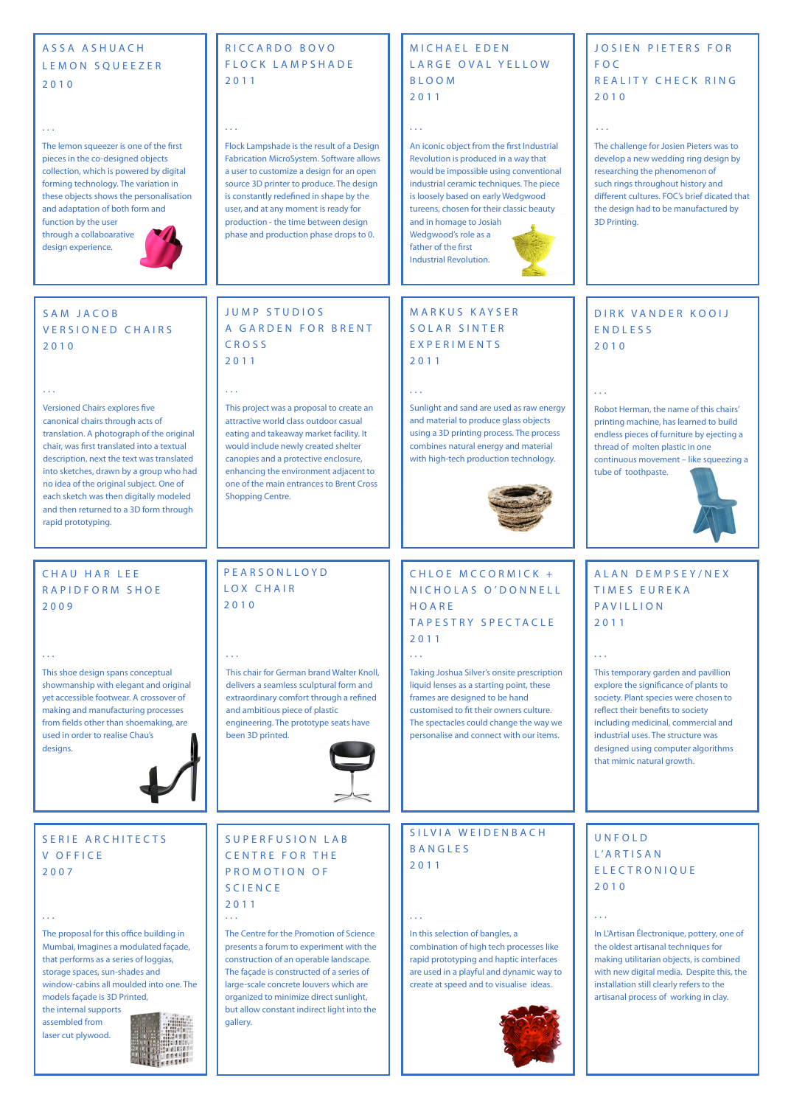In this selection of bangles, a combination of high tech processes like rapid prototyping and haptic interfaces are used in a playful and dynamic way to create at speed and to visualise ideas.



CHLOE MCCORMICK + NICHOLAS O'DONNELL HOARE TAPESTRY SPECTACLE 2011

# M A R K U S K A Y S E R SOLAR SINTER E X P E R I M E N T S 2011

SILVIA WEIDENBACH BANGLES 2011

## MICHAEL EDEN LARGE OVAL YELLOW BLOOM 2011

# PEARSONLLOYD LOX CHAIR 2010

# CHAU HAR LEE RAPIDFORM SHOE 2009

Versioned Chairs explores five canonical chairs through acts of translation. A photograph of the original chair, was first translated into a textual description, next the text was translated into sketches, drawn by a group who had no idea of the original subject. One of each sketch was then digitally modeled and then returned to a 3D form through rapid prototyping.

> The Centre for the Promotion of Science presents a forum to experiment with the construction of an operable landscape. The façade is constructed of a series of large-scale concrete louvers which are organized to minimize direct sunlight, but allow constant indirect light into the gallery.

The proposal for this office building in Mumbai, imagines a modulated façade, that performs as a series of loggias, storage spaces, sun-shades and window-cabins all moulded into one. The models façade is 3D Printed, the internal supports assembled from laser cut plywood.

Robot Herman, the name of this chairs' printing machine, has learned to build endless pieces of furniture by ejecting a thread of molten plastic in one continuous movement – like squeezing a tube of toothpaste.



## JUMP STUDIOS A GARDEN FOR BRENT CROSS 2011

Taking Joshua Silver's onsite prescription liquid lenses as a starting point, these frames are designed to be hand customised to fit their owners culture. The spectacles could change the way we personalise and connect with our items.

# ASSA ASHUACH L E M O N S Q U E E Z E R 2010

# RICCARDO BOVO FLOCK LAMPSHADE 2011

Flock Lampshade is the result of a Design Fabrication MicroSystem. Software allows a user to customize a design for an open source 3D printer to produce. The design is constantly redefined in shape by the user, and at any moment is ready for production - the time between design phase and production phase drops to 0.

# DIRK VANDER KOOIJ ENDLESS 2010

Sunlight and sand are used as raw energy and material to produce glass objects using a 3D printing process. The process combines natural energy and material with high-tech production technology.



# UNFOLD L'ARTISAN ELECTRONIQUE 2010

SUPERFUSION LAB CENTRE FOR THE PROMOTION OF SCIENCE 2011 ... ... ... ...

> In L'Artisan Électronique, pottery, one of the oldest artisanal techniques for making utilitarian objects, is combined with new digital media. Despite this, the installation still clearly refers to the artisanal process of working in clay.



# JOSIEN PIETERS FOR FOC REALITY CHECK RING 2010

The challenge for Josien Pieters was to develop a new wedding ring design by researching the phenomenon of such rings throughout history and different cultures. FOC's brief dicated that the design had to be manufactured by 3D Printing.

# SAM JACOB VERSIONED CHAIRS 2010

## SERIE ARCHITECTS V OFFICE 2007

This chair for German brand Walter Knoll, delivers a seamless sculptural form and extraordinary comfort through a refined and ambitious piece of plastic engineering. The prototype seats have been 3D printed.



This shoe design spans conceptual showmanship with elegant and original yet accessible footwear. A crossover of making and manufacturing processes from fields other than shoemaking, are used in order to realise Chau's designs.

### ... ... ...

... ... ...

... ... ...

This project was a proposal to create an attractive world class outdoor casual eating and takeaway market facility. It would include newly created shelter canopies and a protective enclosure, enhancing the environment adjacent to one of the main entrances to Brent Cross Shopping Centre.

### ...

An iconic object from the first Industrial Revolution is produced in a way that would be impossible using conventional industrial ceramic techniques. The piece is loosely based on early Wedgwood tureens, chosen for their classic beauty and in homage to Josiah Wedgwood's role as a father of the first

Industrial Revolution.

# A L A N D E M P S E Y / N E X TIMES EUREKA PAVILLION 2011

This temporary garden and pavillion explore the significance of plants to society. Plant species were chosen to reflect their benefits to society including medicinal, commercial and industrial uses. The structure was designed using computer algorithms that mimic natural growth.

### ...

### ...

The lemon squeezer is one of the first pieces in the co-designed objects collection, which is powered by digital forming technology. The variation in these objects shows the personalisation and adaptation of both form and function by the user

through a collaboarative design experience.